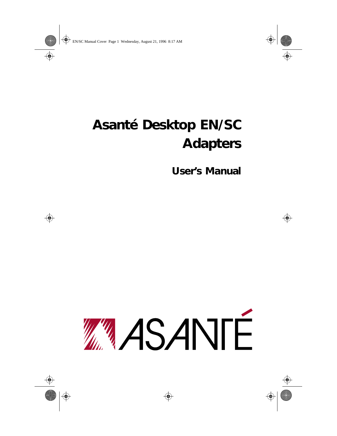## **Asanté Desktop EN/SC Adapters**

**User's Manual**

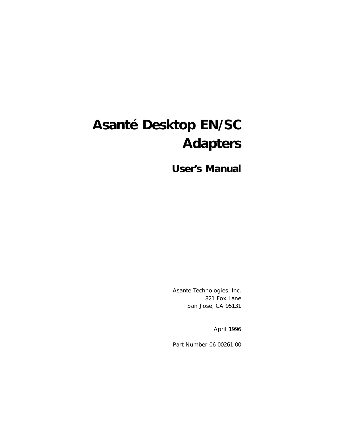## **Asanté Desktop EN/SC Adapters**

**User's Manual**

Asanté Technologies, Inc. 821 Fox Lane San Jose, CA 95131

April 1996

Part Number 06-00261-00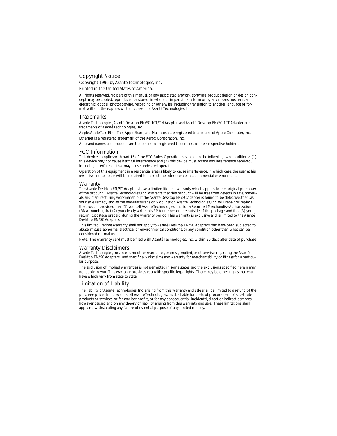#### Copyright Notice

Copyright 1996 by Asanté Technologies, Inc.

Printed in the United States of America.

All rights reserved. No part of this manual, or any associated artwork, software, product design or design concept, may be copied, reproduced or stored, in whole or in part, in any form or by any means mechanical, electronic, optical, photocopying, recording or otherwise, including translation to another language or format, without the express written consent of Asanté Technologies, Inc.

#### **Trademarks**

Asanté Technologies, Asanté Desktop EN/SC-10T/TN Adapter, and Asanté Desktop EN/SC-10T Adapter are trademarks of Asanté Technologies, Inc.

Apple, AppleTalk, EtherTalk, AppleShare, and Macintosh are registered trademarks of Apple Computer, Inc.

Ethernet is a registered trademark of the Xerox Corporation, Inc.

All brand names and products are trademarks or registered trademarks of their respective holders.

#### FCC Information

This device complies with part 15 of the FCC Rules. Operation is subject to the following two conditions: (1) this device may not cause harmful interference and (2) this device must accept any interference received, including interference that may cause undesired operation.

Operation of this equipment in a residential area is likely to cause interference, in which case, the user at his own risk and expense will be required to correct the interference in a commercial environment.

#### Warranty

The Asanté Desktop EN/SC Adapters have a limited lifetime warranty which applies to the original purchaser of the product. Asanté Technologies, Inc. warrants that this product will be free from defects in title, materials and manufacturing workmanship. If the Asanté Desktop EN/SC Adapter is found to be defective, then, as your sole remedy and as the manufacturer's only obligation, Asanté Technologies, Inc. will repair or replace the product provided that (1) you call Asanté Technologies, Inc. for a Returned Merchandise Authorization (RMA) number, that (2) you clearly write this RMA number on the outside of the package, and that (3) you return it, postage prepaid, during the warranty period. This warranty is exclusive and is limited to the Asanté Desktop EN/SC Adapters.

This limited lifetime warranty shall not apply to Asanté Desktop EN/SC Adapters that have been subjected to abuse, misuse, abnormal electrical or environmental conditions, or any condition other than what can be considered normal use.

Note: The warranty card must be filed with Asanté Technologies, Inc. within 30 days after date of purchase.

#### Warranty Disclaimers

Asanté Technologies, Inc. makes no other warranties, express, implied, or otherwise, regarding the Asanté Desktop EN/SC Adapters, and specifically disclaims any warranty for merchantability or fitness for a particular purpose.

The exclusion of implied warranties is not permitted in some states and the exclusions specified herein may not apply to you. This warranty provides you with specific legal rights. There may be other rights that you have which vary from state to state.

#### Limitation of Liability

The liability of Asanté Technologies, Inc. arising from this warranty and sale shall be limited to a refund of the purchase price. In no event shall Asanté Technologies, Inc. be liable for costs of procurement of substitute products or services, or for any lost profits, or for any consequential, incidental, direct or indirect damages, however caused and on any theory of liability, arising from this warranty and sale. These limitations shall apply notwithstanding any failure of essential purpose of any limited remedy.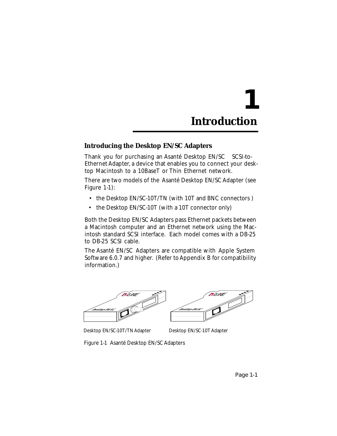# **1 Introduction**

## **Introducing the Desktop EN/SC Adapters**

Thank you for purchasing an Asanté Desktop  $EN/SC^{TM}$  SCSI-to-Ethernet Adapter, a device that enables you to connect your desktop Macintosh to a 10BaseT or Thin Ethernet network.

There are two models of the Asanté Desktop EN/SC Adapter (see Figure 1-1):

- the Desktop EN/SC-10T/TN (with 10T and BNC connectors )
- the Desktop EN/SC-10T (with a 10T connector only)

Both the Desktop EN/SC Adapters pass Ethernet packets between a Macintosh computer and an Ethernet network using the Macintosh standard SCSI interface. Each model comes with a DB-25 to DB-25 SCSI cable.

The Asanté EN/SC Adapters are compatible with Apple System Software 6.0.7 and higher. (Refer to Appendix B for compatibility information.)





Desktop EN/SC-10T/TN Adapter Desktop EN/SC-10T Adapter

Figure 1-1 Asanté Desktop EN/SC Adapters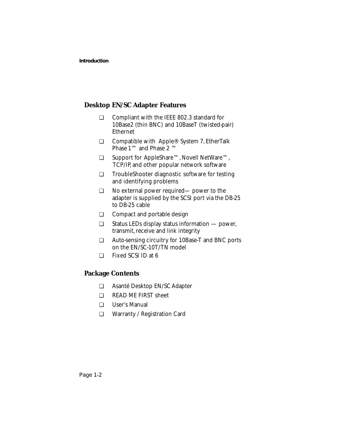### **Desktop EN/SC Adapter Features**

- ❏ Compliant with the IEEE 802.3 standard for 10Base2 (thin BNC) and 10BaseT (twisted-pair) Ethernet
- ❏ Compatible with Apple® System 7, EtherTalk Phase 1™ and Phase 2 ™
- ❏ Support for AppleShare™, Novell NetWare™, TCP/IP, and other popular network software
- ❏ TroubleShooter diagnostic software for testing and identifying problems
- ❏ No external power required— power to the adapter is supplied by the SCSI port via the DB-25 to DB-25 cable
- ❏ Compact and portable design
- ❏ Status LEDs display status information power, transmit, receive and link integrity
- ❏ Auto-sensing circuitry for 10Base-T and BNC ports on the EN/SC-10T/TN model
- ❏ Fixed SCSI ID at 6

## **Package Contents**

- ❏ Asanté Desktop EN/SC Adapter
- ❏ READ ME FIRST sheet
- ❏ User's Manual
- ❏ Warranty / Registration Card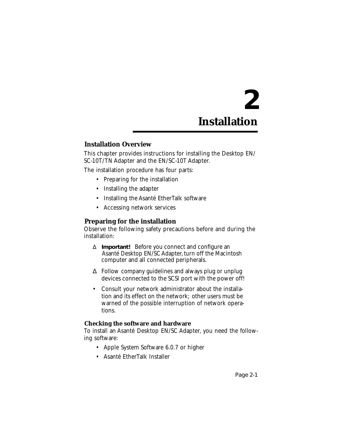# **2 Installation**

## **Installation Overview**

This chapter provides instructions for installing the Desktop EN/ SC-10T/TN Adapter and the EN/SC-10T Adapter.

The installation procedure has four parts:

- Preparing for the installation
- Installing the adapter
- Installing the Asanté EtherTalk software
- Accessing network services

## **Preparing for the installation**

Observe the following safety precautions before and during the installation:

- ∆ **Important!** Before you connect and configure an Asanté Desktop EN/SC Adapter, turn off the Macintosh computer and all connected peripherals.
- ∆ Follow company guidelines and always plug or unplug devices connected to the SCSI port with the power off!
- Consult your network administrator about the installation and its effect on the network; other users must be warned of the possible interruption of network operations.

#### **Checking the software and hardware**

To install an Asanté Desktop EN/SC Adapter, you need the following software:

- Apple System Software 6.0.7 or higher
- Asanté EtherTalk Installer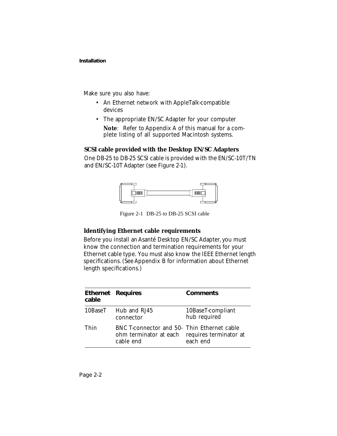Make sure you also have:

- An Ethernet network with AppleTalk-compatible devices
- The appropriate EN/SC Adapter for your computer *Note*: Refer to Appendix A of this manual for a complete listing of all supported Macintosh systems.

#### **SCSI cable provided with the Desktop EN/SC Adapters**

One DB-25 to DB-25 SCSI cable is provided with the EN/SC-10T/TN and EN/SC-10T Adapter (see Figure 2-1).



Figure 2-1 DB-25 to DB-25 SCSI cable

#### **Identifying Ethernet cable requirements**

Before you install an Asanté Desktop EN/SC Adapter, you must know the connection and termination requirements for your Ethernet cable type. You must also know the IEEE Ethernet length specifications. (See Appendix B for information about Ethernet length specifications.)

| cable | <b>Ethernet Requires</b>                                                                                  | <b>Comments</b>                   |
|-------|-----------------------------------------------------------------------------------------------------------|-----------------------------------|
|       | 10BaseT Hub and RJ45<br>connector                                                                         | 10BaseT-compliant<br>hub required |
| Thin  | BNC T-connector and 50- Thin Ethernet cable<br>ohm terminator at each requires terminator at<br>cable end | each end                          |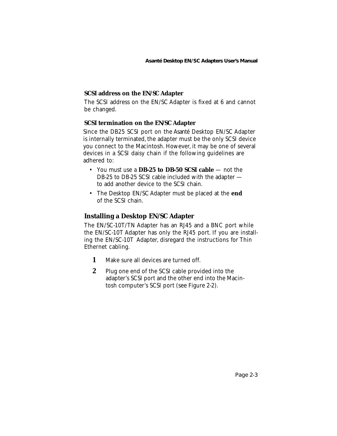## **SCSI address on the EN/SC Adapter**

The SCSI address on the EN/SC Adapter is fixed at 6 and cannot be changed.

#### **SCSI termination on the EN/SC Adapter**

Since the DB25 SCSI port on the Asanté Desktop EN/SC Adapter is internally terminated, the adapter must be the only SCSI device you connect to the Macintosh. However, it may be one of several devices in a SCSI daisy chain if the following guidelines are adhered to:

- You must use a **DB-25 to DB-50 SCSI cable** not the DB-25 to DB-25 SCSI cable included with the adapter to add another device to the SCSI chain.
- The Desktop EN/SC Adapter must be placed at the **end** of the SCSI chain.

## **Installing a Desktop EN/SC Adapter**

The EN/SC-10T/TN Adapter has an RJ45 and a BNC port while the EN/SC-10T Adapter has only the RJ45 port. If you are installing the EN/SC-10T Adapter, disregard the instructions for Thin Ethernet cabling.

- **1** Make sure all devices are turned off.
- **2** Plug one end of the SCSI cable provided into the adapter's SCSI port and the other end into the Macintosh computer's SCSI port (see Figure 2-2).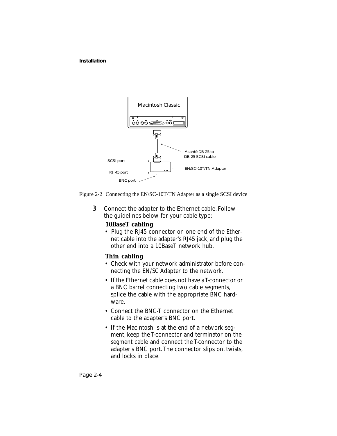



**3** Connect the adapter to the Ethernet cable. Follow the guidelines below for your cable type:

### **10BaseT cabling**

• Plug the RJ45 connector on one end of the Ethernet cable into the adapter's RJ45 jack, and plug the other end into a 10BaseT network hub.

#### **Thin cabling**

- Check with your network administrator before connecting the EN/SC Adapter to the network.
- If the Ethernet cable does not have a T-connector or a BNC barrel connecting two cable segments, splice the cable with the appropriate BNC hardware.
- Connect the BNC-T connector on the Ethernet cable to the adapter's BNC port.
- If the Macintosh is at the end of a network segment, keep the T-connector and terminator on the segment cable and connect the T-connector to the adapter's BNC port. The connector slips on, twists, and locks in place.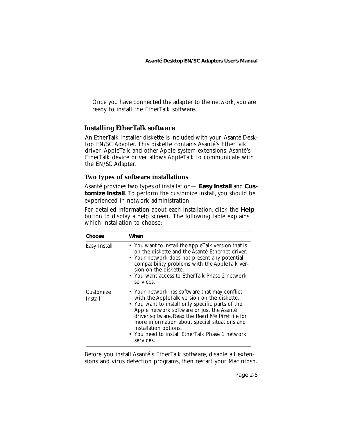Once you have connected the adapter to the network, you are ready to install the EtherTalk software.

## **Installing EtherTalk software**

An EtherTalk Installer diskette is included with your Asanté Desktop EN/SC Adapter. This diskette contains Asanté's EtherTalk driver, AppleTalk and other Apple system extensions. Asanté's EtherTalk device driver allows AppleTalk to communicate with the EN/SC Adapter.

#### **Two types of software installations**

Asanté provides two types of installation— **Easy Install** and **Customize Install**. To perform the customize install, you should be experienced in network administration.

For detailed information about each installation, click the **Help** button to display a help screen. The following table explains which installation to choose:

| Choose               | When                                                                                                                                                                                                                                                                                                                                                                                        |
|----------------------|---------------------------------------------------------------------------------------------------------------------------------------------------------------------------------------------------------------------------------------------------------------------------------------------------------------------------------------------------------------------------------------------|
| Easy Install         | • You want to install the AppleTalk version that is<br>on the diskette and the Asanté Ethernet driver.<br>• Your network does not present any potential<br>compatibility problems with the AppleTalk ver-<br>sion on the diskette.<br>• You want access to EtherTalk Phase 2 network<br>services.                                                                                           |
| Customize<br>Install | • Your network has software that may conflict<br>with the AppleTalk version on the diskette.<br>• You want to install only specific parts of the<br>Apple network software or just the Asanté<br>driver software. Read the Read Me First file for<br>more information about special situations and<br>installation options.<br>• You need to install EtherTalk Phase 1 network<br>services. |

Before you install Asanté's EtherTalk software, disable all extensions and virus detection programs, then restart your Macintosh.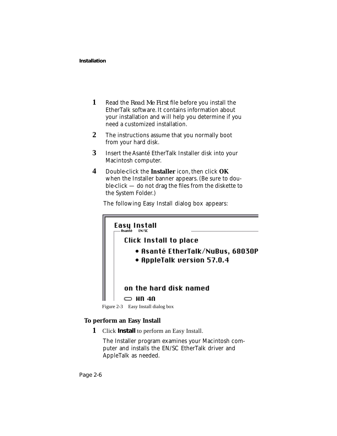- **1** Read the *Read Me First* file before you install the EtherTalk software. It contains information about your installation and will help you determine if you need a customized installation.
- **2** The instructions assume that you normally boot from your hard disk.
- **3** Insert the Asanté EtherTalk Installer disk into your Macintosh computer.
- **4** Double-click the **Installer** icon, then click **OK** when the Installer banner appears. (Be sure to double-click — do not drag the files from the diskette to the System Folder.)

The following Easy Install dialog box appears:



Figure 2-3 Easy Install dialog box

### **To perform an Easy Install**

**1** Click **Install** to perform an Easy Install.

The Installer program examines your Macintosh computer and installs the EN/SC EtherTalk driver and AppleTalk as needed.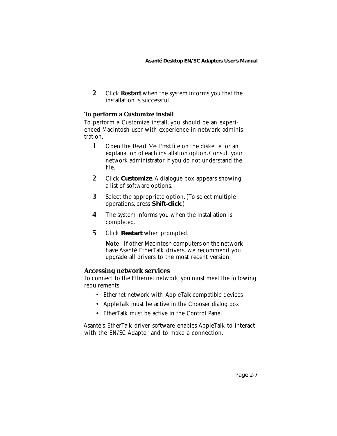**2** Click **Restart** when the system informs you that the installation is successful.

## **To perform a Customize install**

To perform a Customize install, you should be an experienced Macintosh user with experience in network administration.

- **1** Open the *Read Me First* file on the diskette for an explanation of each installation option. Consult your network administrator if you do not understand the file.
- **2** Click **Customize**. A dialogue box appears showing a list of software options.
- **3** Select the appropriate option. (To select multiple operations, press **Shift-click**.)
- **4** The system informs you when the installation is completed.
- **5** Click **Restart** when prompted.

*Note*: If other Macintosh computers on the network have Asanté EtherTalk drivers, we recommend you upgrade all drivers to the most recent version.

### **Accessing network services**

To connect to the Ethernet network, you must meet the following requirements:

- Ethernet network with AppleTalk-compatible devices
- AppleTalk must be active in the Chooser dialog box
- EtherTalk must be active in the Control Panel

Asanté's EtherTalk driver software enables AppleTalk to interact with the EN/SC Adapter and to make a connection.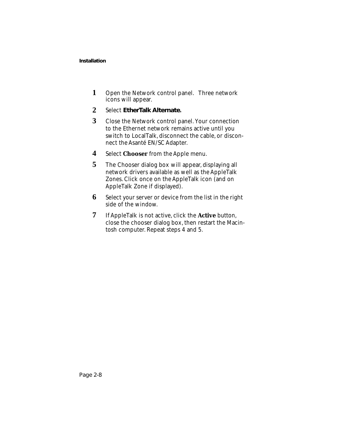- **1** Open the Network control panel. Three network icons will appear.
- **2** Select **EtherTalk Alternate.**
- **3** Close the Network control panel. Your connection to the Ethernet network remains active until you switch to LocalTalk, disconnect the cable, or disconnect the Asanté EN/SC Adapter.
- **4** Select **Chooser** from the Apple menu.
- **5** The Chooser dialog box will appear, displaying all network drivers available as well as the AppleTalk Zones. Click once on the AppleTalk icon (and on AppleTalk Zone if displayed).
- **6** Select your server or device from the list in the right side of the window.
- **7** If AppleTalk is not active, click the **Active** button, close the chooser dialog box, then restart the Macintosh computer. Repeat steps 4 and 5.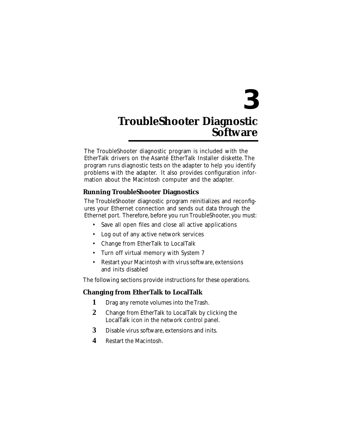## **3 TroubleShooter Diagnostic Software**

The TroubleShooter diagnostic program is included with the EtherTalk drivers on the Asanté EtherTalk Installer diskette. The program runs diagnostic tests on the adapter to help you identify problems with the adapter. It also provides configuration information about the Macintosh computer and the adapter.

## **Running TroubleShooter Diagnostics**

The TroubleShooter diagnostic program reinitializes and reconfigures your Ethernet connection and sends out data through the Ethernet port. Therefore, before you run TroubleShooter, you must:

- Save all open files and close all active applications
- Log out of any active network services
- Change from EtherTalk to LocalTalk
- Turn off virtual memory with System 7
- Restart your Macintosh with virus software, extensions and inits disabled

The following sections provide instructions for these operations.

## **Changing from EtherTalk to LocalTalk**

- **1** Drag any remote volumes into the Trash.
- **2** Change from EtherTalk to LocalTalk by clicking the LocalTalk icon in the network control panel.
- **3** Disable virus software, extensions and inits.
- **4** Restart the Macintosh.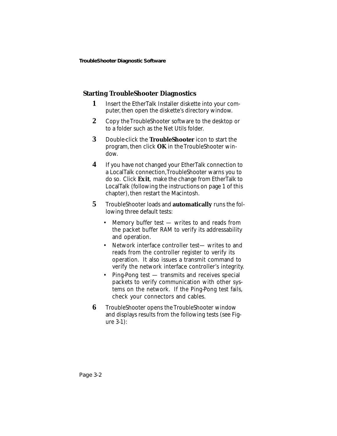## **Starting TroubleShooter Diagnostics**

- **1** Insert the EtherTalk Installer diskette into your computer, then open the diskette's directory window.
- **2** Copy the TroubleShooter software to the desktop or to a folder such as the Net Utils folder.
- **3** Double-click the **TroubleShooter** icon to start the program, then click **OK** in the TroubleShooter window.
- **4** If you have not changed your EtherTalk connection to a LocalTalk connection, TroubleShooter warns you to do so. Click **Exit**, make the change from EtherTalk to LocalTalk (following the instructions on page 1 of this chapter), then restart the Macintosh.
- **5** TroubleShooter loads and **automatically** runs the following three default tests:
	- Memory buffer test  $-$  writes to and reads from the packet buffer RAM to verify its addressability and operation.
	- Network interface controller test— writes to and reads from the controller register to verify its operation. It also issues a transmit command to verify the network interface controller's integrity.
	- Ping-Pong test transmits and receives special packets to verify communication with other systems on the network. If the Ping-Pong test fails, check your connectors and cables.
- **6** TroubleShooter opens the TroubleShooter window and displays results from the following tests (see Figure 3-1):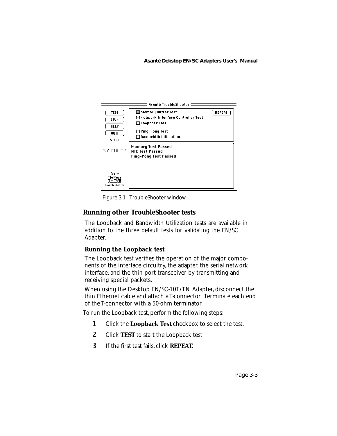

Figure 3-1 TroubleShooter window

## **Running other TroubleShooter tests**

The Loopback and Bandwidth Utilization tests are available in addition to the three default tests for validating the EN/SC Adapter.

### **Running the Loopback test**

The Loopback test verifies the operation of the major components of the interface circuitry, the adapter, the serial network interface, and the thin port transceiver by transmitting and receiving special packets.

When using the Desktop EN/SC-10T/TN Adapter, disconnect the thin Ethernet cable and attach a T-connector. Terminate each end of the T-connector with a 50-ohm terminator.

To run the Loopback test, perform the following steps:

- **1** Click the **Loopback Test** checkbox to select the test.
- **2** Click **TEST** to start the Loopback test.
- **3** If the first test fails, click **REPEAT**.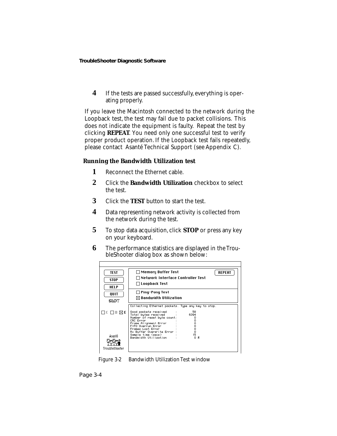**4** If the tests are passed successfully, everything is operating properly.

If you leave the Macintosh connected to the network during the Loopback test, the test may fail due to packet collisions. This does not indicate the equipment is faulty. Repeat the test by clicking **REPEAT**. You need only one successful test to verify proper product operation. If the Loopback test fails repeatedly, please contact Asanté Technical Support (see Appendix C).

#### **Running the Bandwidth Utilization test**

- **1** Reconnect the Ethernet cable.
- **2** Click the **Bandwidth Utilization** checkbox to select the test.
- **3** Click the **TEST** button to start the test.
- **4** Data representing network activity is collected from the network during the test.
- **5** To stop data acquisition, click **STOP** or press any key on your keyboard.
- **6** The performance statistics are displayed in the TroubleShooter dialog box as shown below:

| TEST<br><b>STOP</b><br>HELP           | $\Box$ Memory Buffer Test<br><b>REPEAT</b><br>∏Network Interface Controller Test<br>□ Loopback Test                                                                                                                                                                                                                                           |
|---------------------------------------|-----------------------------------------------------------------------------------------------------------------------------------------------------------------------------------------------------------------------------------------------------------------------------------------------------------------------------------------------|
|                                       | $\Box$ Ping-Pong Test                                                                                                                                                                                                                                                                                                                         |
| OUIT                                  | $\boxtimes$ Bandwidth Utilization                                                                                                                                                                                                                                                                                                             |
| SIOT                                  |                                                                                                                                                                                                                                                                                                                                               |
| $\square$<br>Asanté<br>TroubleShooter | Collecting Ethernet packets. Type any key to stop.<br>58<br>Good packets received<br>Total butes received<br>6394<br>Number of reset byte count:<br>Ω<br>CRC Error<br>Frame Alignment Error<br>FIFO Overrun Error<br>0<br>о<br>Frames Lost Error<br>ο<br>Bx Buffer Overwrite Error<br>15<br>Sample time (secs)<br>Bandwidth Utilization<br>08 |

Figure 3-2 Bandwidth Utilization Test window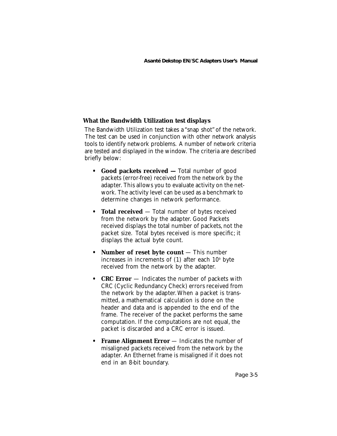## **What the Bandwidth Utilization test displays**

The Bandwidth Utilization test takes a "snap shot" of the network. The test can be used in conjunction with other network analysis tools to identify network problems. A number of network criteria are tested and displayed in the window. The criteria are described briefly below:

- **Good packets received** Total number of good packets (error-free) received from the network by the adapter. This allows you to evaluate activity on the network. The activity level can be used as a benchmark to determine changes in network performance.
- **Total received**  Total number of bytes received from the network by the adapter. Good Packets received displays the total number of packets, not the packet size. Total bytes received is more specific; it displays the actual byte count.
- **Number of reset byte count** This number increases in increments of  $(1)$  after each  $10<sup>9</sup>$  byte received from the network by the adapter.
- **CRC Error** Indicates the number of packets with CRC (Cyclic Redundancy Check) errors received from the network by the adapter. When a packet is transmitted, a mathematical calculation is done on the header and data and is appended to the end of the frame. The receiver of the packet performs the same computation. If the computations are not equal, the packet is discarded and a CRC error is issued.
- **Frame Alignment Error** Indicates the number of misaligned packets received from the network by the adapter. An Ethernet frame is misaligned if it does not end in an 8-bit boundary.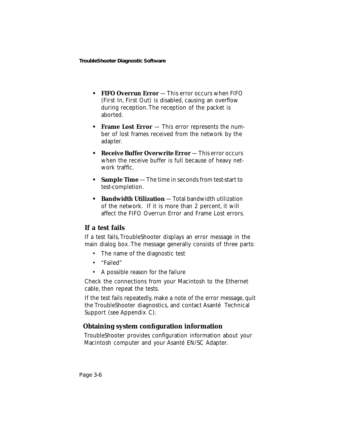- **FIFO Overrun Error** This error occurs when FIFO (First In, First Out) is disabled, causing an overflow during reception. The reception of the packet is aborted.
- **Frame Lost Error** This error represents the number of lost frames received from the network by the adapter.
- **Receive Buffer Overwrite Error**  This error occurs when the receive buffer is full because of heavy network traffic.
- **Sample Time** The time in seconds from test-start to test-completion.
- **Bandwidth Utilization** Total bandwidth utilization of the network. If it is more than 2 percent, it will affect the FIFO Overrun Error and Frame Lost errors.

## **If a test fails**

If a test fails, TroubleShooter displays an error message in the main dialog box. The message generally consists of three parts:

- The name of the diagnostic test
- "Failed"
- A possible reason for the failure

Check the connections from your Macintosh to the Ethernet cable, then repeat the tests.

If the test fails repeatedly, make a note of the error message, quit the TroubleShooter diagnostics, and contact Asanté Technical Support (see Appendix C).

## **Obtaining system configuration information**

TroubleShooter provides configuration information about your Macintosh computer and your Asanté EN/SC Adapter.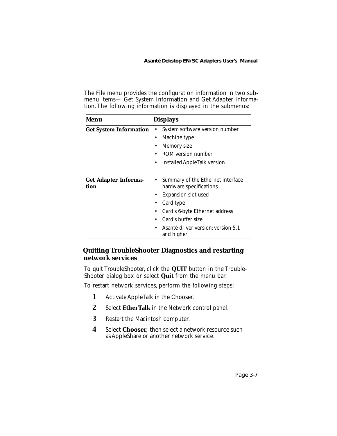The File menu provides the configuration information in two submenu items— Get System Information and Get Adapter Information. The following information is displayed in the submenus:

| Menu                                | <b>Displays</b>                                              |
|-------------------------------------|--------------------------------------------------------------|
| <b>Get System Information</b>       | System software version number                               |
|                                     | Machine type<br>٠                                            |
|                                     | <b>Memory</b> size<br>٠                                      |
|                                     | ROM version number                                           |
|                                     | <b>Installed AppleTalk version</b><br>٠                      |
| <b>Get Adapter Informa-</b><br>tion | Summary of the Ethernet interface<br>hardware specifications |
|                                     | <b>Expansion slot used</b>                                   |
|                                     | Card type                                                    |
|                                     | Card's 6-byte Ethernet address                               |
|                                     | Card's buffer size                                           |
|                                     | Asanté driver version: version 5.1<br>٠<br>and higher        |

## **Quitting TroubleShooter Diagnostics and restarting network services**

To quit TroubleShooter, click the **QUIT** button in the Trouble-Shooter dialog box or select **Quit** from the menu bar.

To restart network services, perform the following steps:

- **1** Activate AppleTalk in the Chooser.
- **2** Select **EtherTalk** in the Network control panel.
- **3** Restart the Macintosh computer.
- **4** Select **Chooser**, then select a network resource such as AppleShare or another network service.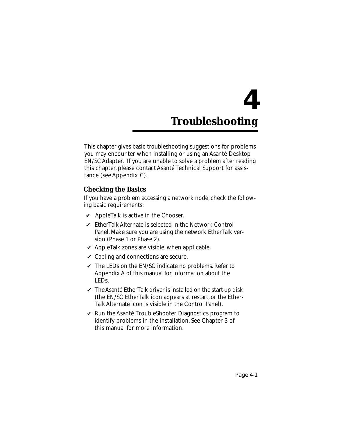# **4 Troubleshooting**

This chapter gives basic troubleshooting suggestions for problems you may encounter when installing or using an Asanté Desktop EN/SC Adapter. If you are unable to solve a problem after reading this chapter, please contact Asanté Technical Support for assistance (see Appendix C).

## **Checking the Basics**

If you have a problem accessing a network node, check the following basic requirements:

- $\boldsymbol{\nu}$  AppleTalk is active in the Chooser.
- $\mathcal V$  EtherTalk Alternate is selected in the Network Control Panel. Make sure you are using the network EtherTalk version (Phase 1 or Phase 2).
- $\vee$  AppleTalk zones are visible, when applicable.
- $\vee$  Cabling and connections are secure.
- $\checkmark$  The LEDs on the EN/SC indicate no problems. Refer to Appendix A of this manual for information about the LEDs.
- $\checkmark$  The Asanté EtherTalk driver is installed on the start-up disk (the EN/SC EtherTalk icon appears at restart, or the Ether-Talk Alternate icon is visible in the Control Panel).
- $\vee$  Run the Asanté TroubleShooter Diagnostics program to identify problems in the installation. See Chapter 3 of this manual for more information.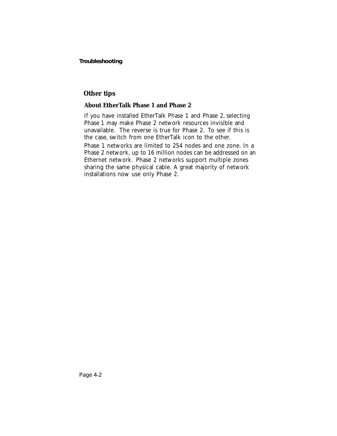## **Other tips**

## **About EtherTalk Phase 1 and Phase 2**

If you have installed EtherTalk Phase 1 and Phase 2, selecting Phase 1 may make Phase 2 network resources invisible and unavailable. The reverse is true for Phase 2. To see if this is the case, switch from one EtherTalk icon to the other. Phase 1 networks are limited to 254 nodes and one zone. In a Phase 2 network, up to 16 million nodes can be addressed on an Ethernet network. Phase 2 networks support multiple zones sharing the same physical cable. A great majority of network installations now use only Phase 2.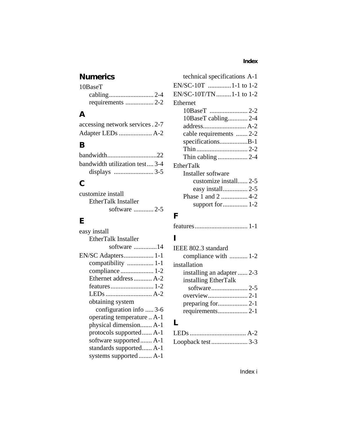## **Numerics**

| $10$ Base $T$ |  |
|---------------|--|
|               |  |
|               |  |

## **A**

| accessing network services . 2-7 |  |
|----------------------------------|--|
|                                  |  |

## **B**

| bandwidth utilization test 3-4 |  |
|--------------------------------|--|
|                                |  |

## **C**

| customize install   |  |
|---------------------|--|
| EtherTalk Installer |  |
| software  2-5       |  |

## **E**

| easy install               |
|----------------------------|
| EtherTalk Installer        |
| software 14                |
|                            |
| compatibility  1-1         |
|                            |
| Ethernet address A-2       |
|                            |
|                            |
| obtaining system           |
| configuration info  3-6    |
| operating temperature  A-1 |
| physical dimension A-1     |
| protocols supported A-1    |
| software supported A-1     |
| standards supported A-1    |
| systems supported  A-1     |

| technical specifications A-1 |
|------------------------------|
| EN/SC-10T 1-1 to 1-2         |
| EN/SC-10T/TN 1-1 to 1-2      |
| Ethernet                     |
|                              |
| 10BaseT cabling 2-4          |
|                              |
| cable requirements  2-2      |
| specificationsB-1            |
|                              |
|                              |
| <b>EtherTalk</b>             |
| Installer software           |
| customize install 2-5        |
| easy install 2-5             |
| Phase 1 and 2  4-2           |
|                              |
|                              |

## **F**

|--|--|--|

## **I**

| IEEE 802.3 standard        |  |
|----------------------------|--|
| compliance with  1-2       |  |
| installation               |  |
| installing an adapter  2-3 |  |
| installing EtherTalk       |  |
|                            |  |
|                            |  |
|                            |  |
|                            |  |
|                            |  |

## **L**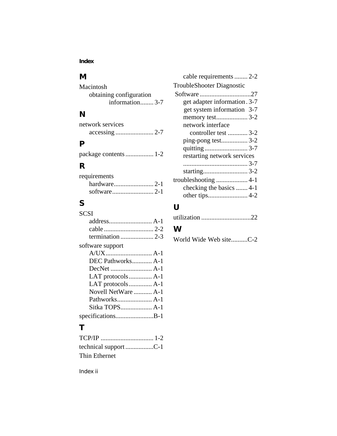### **Index**

## **M**

| Macintosh               |  |
|-------------------------|--|
| obtaining configuration |  |
| information3-7          |  |

## **N**

| network services |  |
|------------------|--|
|                  |  |

## **P**

|  |  | package contents  1-2 |  |
|--|--|-----------------------|--|
|--|--|-----------------------|--|

## **R**

| requirements |  |
|--------------|--|
|              |  |
|              |  |

## **S**

## **SCSI** address.......................... A-1 cable .............................. 2-2 termination .................... 2-3 software support

| DEC Pathworks A-1   |  |
|---------------------|--|
|                     |  |
|                     |  |
| LAT protocols A-1   |  |
| Novell NetWare  A-1 |  |
|                     |  |
| Sitka TOPS A-1      |  |
| specificationsB-1   |  |
|                     |  |

## **T**

| Thin Ethernet |  |
|---------------|--|

| cable requirements  2-2          |  |
|----------------------------------|--|
| <b>TroubleShooter Diagnostic</b> |  |
|                                  |  |
| get adapter information. 3-7     |  |
| get system information 3-7       |  |
| memory test3-2                   |  |
| network interface                |  |
| controller test 3-2              |  |
| ping-pong test3-2                |  |
|                                  |  |
| restarting network services      |  |
|                                  |  |
|                                  |  |
|                                  |  |
| checking the basics  4-1         |  |
|                                  |  |
|                                  |  |

## **U**

|--|--|--|

## **W**

|  |  |  | World Wide Web siteC-2 |  |  |
|--|--|--|------------------------|--|--|
|--|--|--|------------------------|--|--|

#### Index ii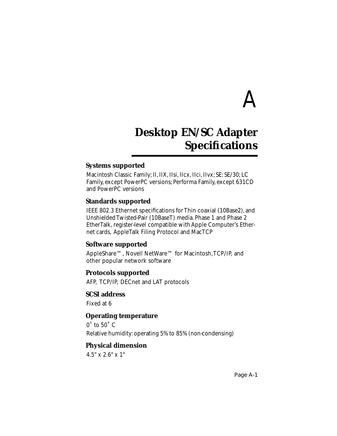# A

## **Desktop EN/SC Adapter Specifications**

## **Systems supported**

Macintosh Classic Family; II, IIX, IIsi, IIcx, IIci, IIvx; SE: SE/30; LC Family, except PowerPC versions; Performa Family, except 631CD and PowerPC versions

## **Standards supported**

IEEE 802.3 Ethernet specifications for Thin coaxial (10Base2), and Unshielded Twisted-Pair (10BaseT) media. Phase 1 and Phase 2 EtherTalk, register-level compatible with Apple Computer's Ethernet cards, AppleTalk Filing Protocol and MacTCP

## **Software supported**

AppleShare™, Novell NetWare™ for Macintosh, TCP/IP, and other popular network software

## **Protocols supported**

AFP, TCP/IP, DECnet and LAT protocols

## **SCSI address**

Fixed at 6

## **Operating temperature**

 $0°$  to  $50°$  C Relative humidity: operating 5% to 85% (non-condensing)

## **Physical dimension**

4.5" x 2.6" x 1"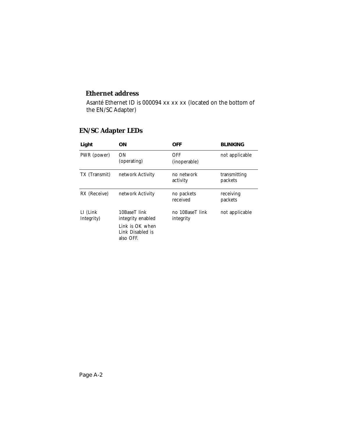## **Ethernet address**

Asanté Ethernet ID is 000094 xx xx xx (located on the bottom of the EN/SC Adapter)

| Light                   | ΟN                                                                                    | OFF                          | <b>BLINKING</b>         |
|-------------------------|---------------------------------------------------------------------------------------|------------------------------|-------------------------|
| PWR (power)             | ON<br>(operating)                                                                     | OFF<br>(inoperable)          | not applicable          |
| TX (Transmit)           | network Activity                                                                      | no network<br>activity       | transmitting<br>packets |
| RX (Receive)            | network Activity                                                                      | no packets<br>received       | receiving<br>packets    |
| LI (Link)<br>Integrity) | 10BaseT link<br>integrity enabled<br>Link is OK when<br>Link Disabled is<br>also OFF. | no 10BaseT link<br>integrity | not applicable          |

## **EN/SC Adapter LEDs**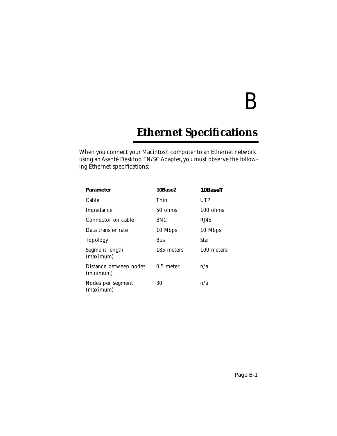# B

## **Ethernet Specifications**

When you connect your Macintosh computer to an Ethernet network using an Asanté Desktop EN/SC Adapter, you must observe the following Ethernet specifications:

| Parameter                           | 10Base2     | 10BaseT            |
|-------------------------------------|-------------|--------------------|
| Cable                               | Thin        | <b>UTP</b>         |
| Impedance                           | 50 ohms     | $100 \text{ ohms}$ |
| Connector on cable                  | <b>BNC</b>  | RJ45               |
| Data transfer rate                  | 10 Mbps     | 10 Mbps            |
| <b>Topology</b>                     | Bus         | Star               |
| Segment length<br>(maximum)         | 185 meters  | 100 meters         |
| Distance between nodes<br>(minimum) | $0.5$ meter | n/a                |
| Nodes per segment<br>(maximum)      | 30          | n/a                |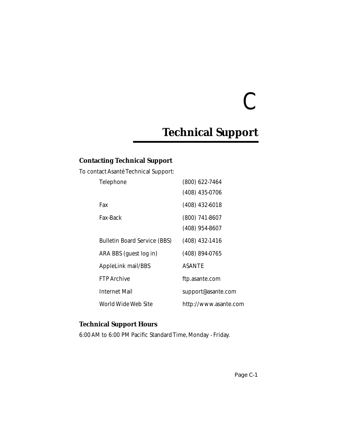# C

## **Technical Support**

## **Contacting Technical Support**

To contact Asanté Technical Support:

| <b>Telephone</b>                    | $(800)$ 622-7464      |
|-------------------------------------|-----------------------|
|                                     | (408) 435-0706        |
| Fax                                 | $(408)$ 432-6018      |
| <b>Fax-Back</b>                     | $(800)$ 741-8607      |
|                                     | $(408)$ 954-8607      |
| <b>Bulletin Board Service (BBS)</b> | $(408)$ 432-1416      |
| ARA BBS (guest log in)              | (408) 894-0765        |
| <b>AppleLink mail/BBS</b>           | <b>ASANTE</b>         |
| <b>FTP</b> Archive                  | ftp.asante.com        |
| Internet Mail                       | support@asante.com    |
| World Wide Web Site                 | http://www.asante.com |

## **Technical Support Hours**

6:00 AM to 6:00 PM Pacific Standard Time, Monday - Friday.